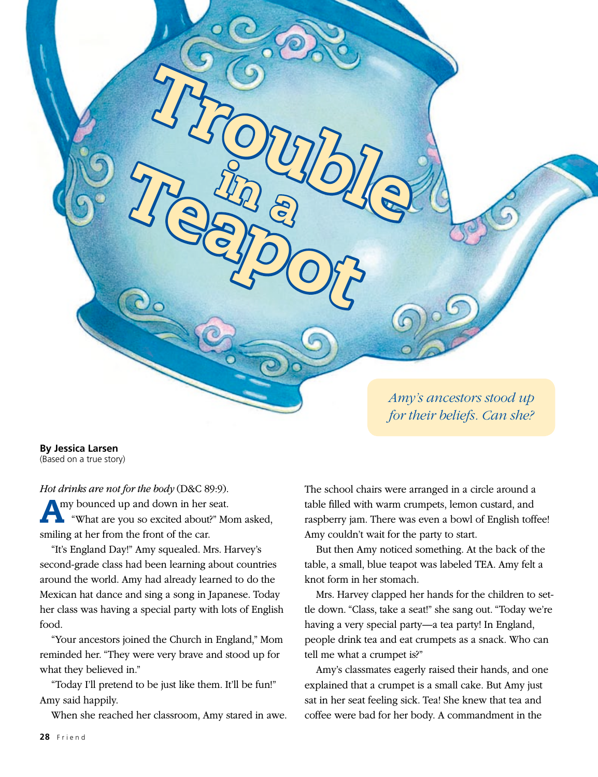**By Jessica Larsen** (Based on a true story)

*Hot drinks are not for the body* (D&C 89:9). Amy bounced up and down in her seat. "What are you so excited about?" Mom asked, smiling at her from the front of the car.

Trouble

Teapor

"It's England Day!" Amy squealed. Mrs. Harvey's second-grade class had been learning about countries around the world. Amy had already learned to do the Mexican hat dance and sing a song in Japanese. Today her class was having a special party with lots of English food.

"Your ancestors joined the Church in England," Mom reminded her. "They were very brave and stood up for what they believed in."

"Today I'll pretend to be just like them. It'll be fun!" Amy said happily.

When she reached her classroom, Amy stared in awe.

The school chairs were arranged in a circle around a table filled with warm crumpets, lemon custard, and raspberry jam. There was even a bowl of English toffee! Amy couldn't wait for the party to start.

*Amy's ancestors stood up for their beliefs. Can she?*

But then Amy noticed something. At the back of the table, a small, blue teapot was labeled TEA. Amy felt a knot form in her stomach.

Mrs. Harvey clapped her hands for the children to settle down. "Class, take a seat!" she sang out. "Today we're having a very special party—a tea party! In England, people drink tea and eat crumpets as a snack. Who can tell me what a crumpet is?"

Amy's classmates eagerly raised their hands, and one explained that a crumpet is a small cake. But Amy just sat in her seat feeling sick. Tea! She knew that tea and coffee were bad for her body. A commandment in the